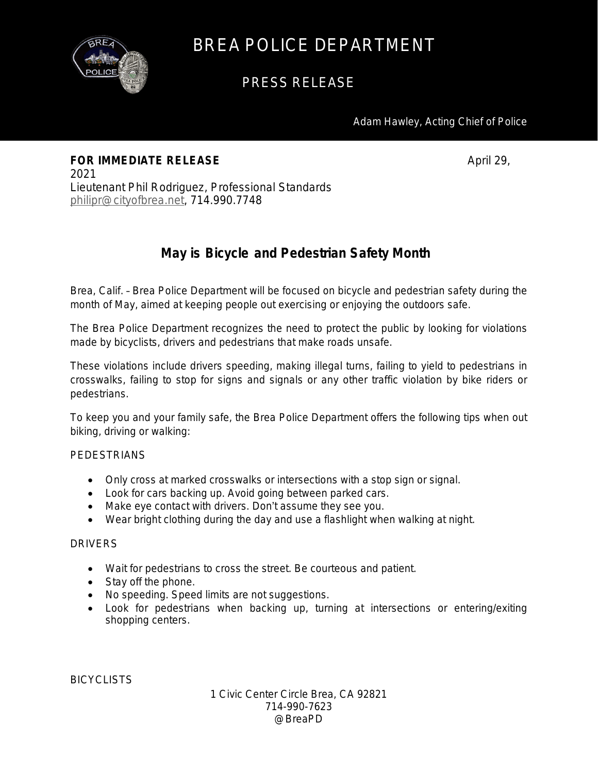

## BREA POLICE DEPARTMENT

## PRESS RELEASE

Adam Hawley, Acting Chief of Police

**FOR IMMEDIATE RELEASE April 29, April 29, April 29,** 2021 Lieutenant Phil Rodriguez, Professional Standards [philipr@cityofbrea.net,](mailto:philipr@cityofbrea.net) 714.990.7748

## **May is Bicycle and Pedestrian Safety Month**

Brea, Calif. – Brea Police Department will be focused on bicycle and pedestrian safety during the month of May, aimed at keeping people out exercising or enjoying the outdoors safe.

The Brea Police Department recognizes the need to protect the public by looking for violations made by bicyclists, drivers and pedestrians that make roads unsafe.

These violations include drivers speeding, making illegal turns, failing to yield to pedestrians in crosswalks, failing to stop for signs and signals or any other traffic violation by bike riders or pedestrians.

To keep you and your family safe, the Brea Police Department offers the following tips when out biking, driving or walking:

#### PEDESTRIANS

- Only cross at marked crosswalks or intersections with a stop sign or signal.
- Look for cars backing up. Avoid going between parked cars.
- Make eye contact with drivers. Don't assume they see you.
- Wear bright clothing during the day and use a flashlight when walking at night.

#### DRIVERS

- Wait for pedestrians to cross the street. Be courteous and patient.
- Stay off the phone.
- No speeding. Speed limits are not suggestions.
- Look for pedestrians when backing up, turning at intersections or entering/exiting shopping centers.

**BICYCLISTS** 

1 Civic Center Circle Brea, CA 92821 714-990-7623 @BreaPD